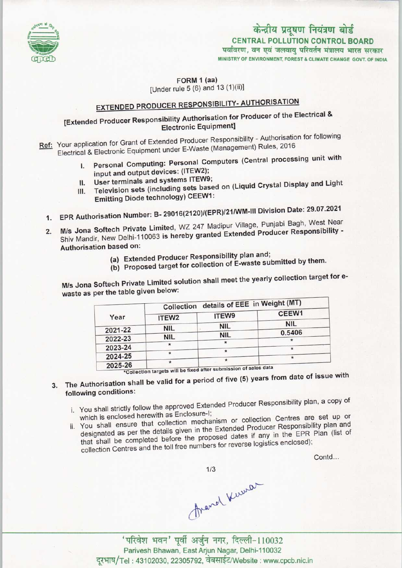

CENTRAL POLLUTION CONTROL BOARD<br>विरण, वन एवं जलवायु परिवर्तन मंत्रालय भारत सर

MINISTRY OF ENVIRONMENT, FOREST & CLIMATE CHANGE GOVT OF INDIA

FORM 1 (aa) [Under rule 5 (6) and 13 (1)(ii)]

# EXTENDED PRODUCER RESPONSIBILITY-AUTHORISATION

## [Extended Producer Responsibility Authorisation for Producer of the Electrical & Electronic Equipment]

Ref: Your application for Grant of Extended Producer Responsibility - Authorisation for following Electrical & Electronic Equipment under E-Waste (Management) Rules, 2016

- I. Personal Computing: Personal Computers (Central processing unit with input and output devices: (ITEW2);
- II. User terminals and systems ITEW9;
- III. Television sets (including sets based on (Liquid Crystal Display and Light Emitting Diode technology) CEEW1:
- Emitting Diode technology) CEEW1:<br>EPR Authorisation Number: B- 29016(2120)/(EPR)/21/WM-III Division Date: 29.07.2021
- 1. EPR Authorisation Number: B- 29016(2120)/(EPR)/21/WM-III Division Date: 29.07.2021<br>2. M/s. Jana Softech Private Limited, WZ 247 Madipur Village, Punjabi Bagh, West Near M/s Jona Softech Private Limited, WZ 247 Madipur Village, Punjabi Bagh, West Near<br>Shiv Mandir, New Delhi-110063 is hereby granted Extended Producer Responsibility -Authorisation based on:
	- (a) Extended Producer Responsibility plan and;
	- (b) Proposed target for collection of E-waste submitted by them.

M/s Jona Softech Private Limited solution shall meet the yearly collection target for ewaste as per the table given below:

|            | details of EEE in Weight (MT)                                    | Collection        |         |
|------------|------------------------------------------------------------------|-------------------|---------|
| CEEW1      | ITEW9                                                            | ITEW <sub>2</sub> | Year    |
| <b>NIL</b> | <b>NIL</b>                                                       |                   |         |
| 0.5406     |                                                                  | <b>NIL</b>        | 2021-22 |
|            | <b>NIL</b>                                                       | <b>NIL</b>        | 2022-23 |
|            |                                                                  |                   | 2023-24 |
|            |                                                                  |                   | 2024-25 |
|            | *Collection targets will be fixed after submission of sales data |                   | 2025-26 |

- 2023-20<br>
\*Collection targets will be fixed after submission of sales data<br>
the Authorisation of five (5) years from date of issue with  $3.$ following conditions:
	- i. You shall strictly follow the approved Extended Producer Responsibility plan, a copy of which is enclosed herewith as Enclosure-I;
	- which is enclosed herewith as Enclosure-I;<br>which is enclosed herewith as Enclosure-I; You shall ensure that collection mechanism or collection Gentles are easy than and designated as per the details given in the Extended Producer Responsibility plan and<br>that shall be completed before the proposed dates if any in the EPR Plan (list of collection Centres and the toll free numbers for reverse logistics enclosed);

Contd...

 $1/3$ 

दुरभाष/Tel: 43102030, 22305792, वेबसाईट/Website : www.cpcb.nic.in ्<br>पूर्वी अर्जुन नगर, दिल्ली-110032<br>P. Fast Ariun Nagar Delbi-110032 Parivesh Bhawan, East Arjun Nagar, Delhi-110032 'परिवेश भवन' पूर्वी अर्जुन नगर,<br>Parivesh Bhawan, East Arjun Nag<br>Tel : 43102030, 22305792, वेबसाईट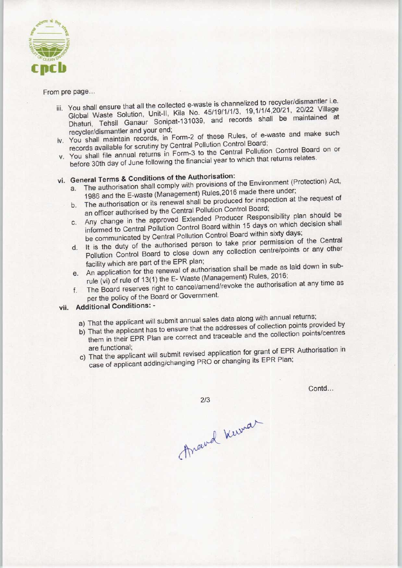

### From pre page...

- iii. You shall ensure that all the collected e-waste is channelized to recycler/dismantler i.e. Global Waste Solution, Unit-ll, Kila No. 45/19/1/1/3, 19,1/1/4,20/21, 20/22 Village Dhaturi, Tehsil Ganaur Sonipat-131039, and records shall be maintained at recycler/dismantler and your end;
- iv. You shall maintain records, in Form-2 of these Rules, of e-waste and make such records available for scrutiny by Central Pollution Control Board;
- v. You shall file annual returns in Form-3 to the Central Pollution Control Board on or before 30th day of June following the financial year to which that returns relates.

## vi. General Terms & Conditions of the Authorisation:

- a.The authorisation shall comply with provisions of the Environment (Protection) Act,
	- a. The authorisation shall comply with provisions of the Entertainment.<br>1986 and the E-waste (Management) Rules,2016 made there under;<br>b. The authorisation or its renewal shall be produced for inspection at the request of b. The authorisation or its renewal shall be produced for inspection at the request of an officer authorised by the Central Pollution Control Board;
	- c. Any change in the approved Extended Producer Responsibility plan should be informed to Central Pollution Control Board within 15 days on which decision shall
	- be communicated byCentral Pollution Control Board within sixty days; d.It is the duty of the authorised person to take prior permission of the Central d. It is the duty of the authorised person to take prior permission of the Central<br>Pollution Control Board to close down any collection centre/points or any other facility which are part of the EPR plan;
	- e.An application for the renewal of authorisation shall be made as laid down in subrule (vi) of rule of 13(1) the E- Waste (Management) Rules, 2016;
	- f. The Board reserves right to cancel/amend/revoke the authorisation at any time as per the policy of the Board or Government.

### vii. Additional Conditions: •

- a) That the applicant will submit annual sales data along with annual returns;
- b) That the applicant has to ensure that the addresses of collection points provided by them in their EPR Plan are correct and traceable and the collection points/centres are functional;
- c) That the applicant will submit revised application for grant of EPR Authorisation in case of applicant adding/changing PRO or changing its EPR Plan;

Contd...

 $2/3$ 

Araud Kewar